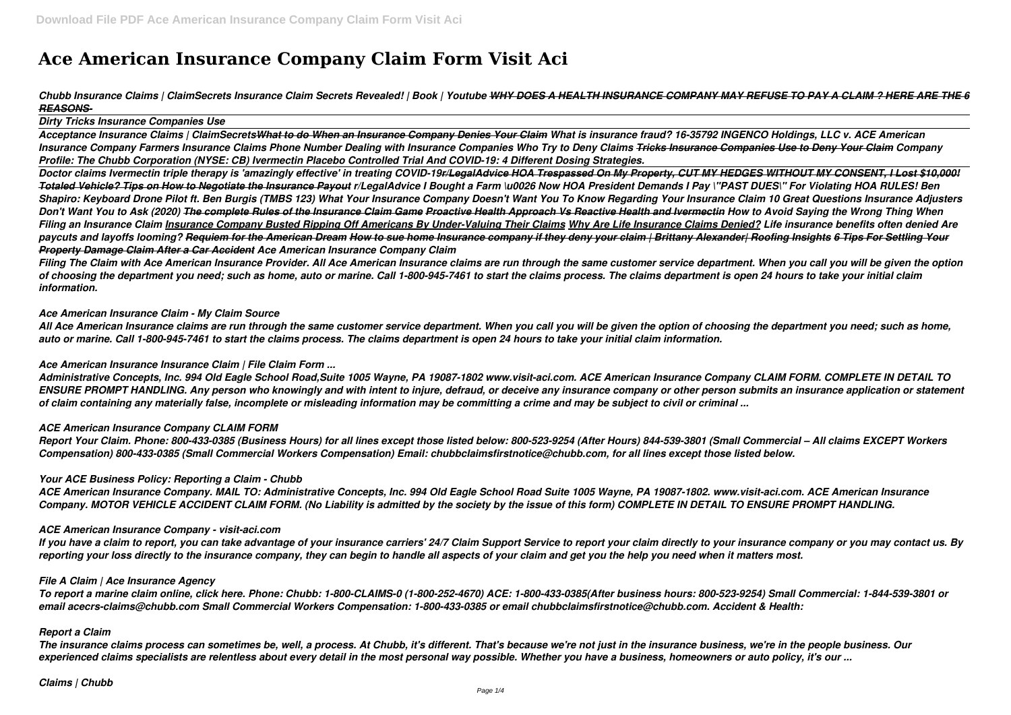# **Ace American Insurance Company Claim Form Visit Aci**

# *Chubb Insurance Claims | ClaimSecrets Insurance Claim Secrets Revealed! | Book | Youtube WHY DOES A HEALTH INSURANCE COMPANY MAY REFUSE TO PAY A CLAIM ? HERE ARE THE 6 REASONS-*

#### *Dirty Tricks Insurance Companies Use*

*Acceptance Insurance Claims | ClaimSecretsWhat to do When an Insurance Company Denies Your Claim What is insurance fraud? 16-35792 INGENCO Holdings, LLC v. ACE American Insurance Company Farmers Insurance Claims Phone Number Dealing with Insurance Companies Who Try to Deny Claims Tricks Insurance Companies Use to Deny Your Claim Company Profile: The Chubb Corporation (NYSE: CB) Ivermectin Placebo Controlled Trial And COVID-19: 4 Different Dosing Strategies.*

*Doctor claims Ivermectin triple therapy is 'amazingly effective' in treating COVID-19r/LegalAdvice HOA Trespassed On My Property, CUT MY HEDGES WITHOUT MY CONSENT, I Lost \$10,000! Totaled Vehicle? Tips on How to Negotiate the Insurance Payout r/LegalAdvice I Bought a Farm \u0026 Now HOA President Demands I Pay \"PAST DUES\" For Violating HOA RULES! Ben Shapiro: Keyboard Drone Pilot ft. Ben Burgis (TMBS 123) What Your Insurance Company Doesn't Want You To Know Regarding Your Insurance Claim 10 Great Questions Insurance Adjusters Don't Want You to Ask (2020) The complete Rules of the Insurance Claim Game Proactive Health Approach Vs Reactive Health and Ivermectin How to Avoid Saying the Wrong Thing When Filing an Insurance Claim Insurance Company Busted Ripping Off Americans By Under-Valuing Their Claims Why Are Life Insurance Claims Denied? Life insurance benefits often denied Are paycuts and layoffs looming? Requiem for the American Dream How to sue home Insurance company if they deny your claim | Brittany Alexander| Roofing Insights 6 Tips For Settling Your Property Damage Claim After a Car Accident Ace American Insurance Company Claim*

*Filing The Claim with Ace American Insurance Provider. All Ace American Insurance claims are run through the same customer service department. When you call you will be given the option of choosing the department you need; such as home, auto or marine. Call 1-800-945-7461 to start the claims process. The claims department is open 24 hours to take your initial claim information.*

#### *Ace American Insurance Claim - My Claim Source*

*All Ace American Insurance claims are run through the same customer service department. When you call you will be given the option of choosing the department you need; such as home, auto or marine. Call 1-800-945-7461 to start the claims process. The claims department is open 24 hours to take your initial claim information.*

#### *Ace American Insurance Insurance Claim | File Claim Form ...*

*Administrative Concepts, Inc. 994 Old Eagle School Road,Suite 1005 Wayne, PA 19087-1802 www.visit-aci.com. ACE American Insurance Company CLAIM FORM. COMPLETE IN DETAIL TO ENSURE PROMPT HANDLING. Any person who knowingly and with intent to injure, defraud, or deceive any insurance company or other person submits an insurance application or statement of claim containing any materially false, incomplete or misleading information may be committing a crime and may be subject to civil or criminal ...*

#### *ACE American Insurance Company CLAIM FORM*

*Report Your Claim. Phone: 800-433-0385 (Business Hours) for all lines except those listed below: 800-523-9254 (After Hours) 844-539-3801 (Small Commercial – All claims EXCEPT Workers Compensation) 800-433-0385 (Small Commercial Workers Compensation) Email: chubbclaimsfirstnotice@chubb.com, for all lines except those listed below.*

#### *Your ACE Business Policy: Reporting a Claim - Chubb*

*ACE American Insurance Company. MAIL TO: Administrative Concepts, Inc. 994 Old Eagle School Road Suite 1005 Wayne, PA 19087-1802. www.visit-aci.com. ACE American Insurance Company. MOTOR VEHICLE ACCIDENT CLAIM FORM. (No Liability is admitted by the society by the issue of this form) COMPLETE IN DETAIL TO ENSURE PROMPT HANDLING.*

#### *ACE American Insurance Company - visit-aci.com*

*If you have a claim to report, you can take advantage of your insurance carriers' 24/7 Claim Support Service to report your claim directly to your insurance company or you may contact us. By reporting your loss directly to the insurance company, they can begin to handle all aspects of your claim and get you the help you need when it matters most.*

#### *File A Claim | Ace Insurance Agency*

*To report a marine claim online, click here. Phone: Chubb: 1-800-CLAIMS-0 (1-800-252-4670) ACE: 1-800-433-0385(After business hours: 800-523-9254) Small Commercial: 1-844-539-3801 or email acecrs-claims@chubb.com Small Commercial Workers Compensation: 1-800-433-0385 or email chubbclaimsfirstnotice@chubb.com. Accident & Health:*

#### *Report a Claim*

*The insurance claims process can sometimes be, well, a process. At Chubb, it's different. That's because we're not just in the insurance business, we're in the people business. Our experienced claims specialists are relentless about every detail in the most personal way possible. Whether you have a business, homeowners or auto policy, it's our ...*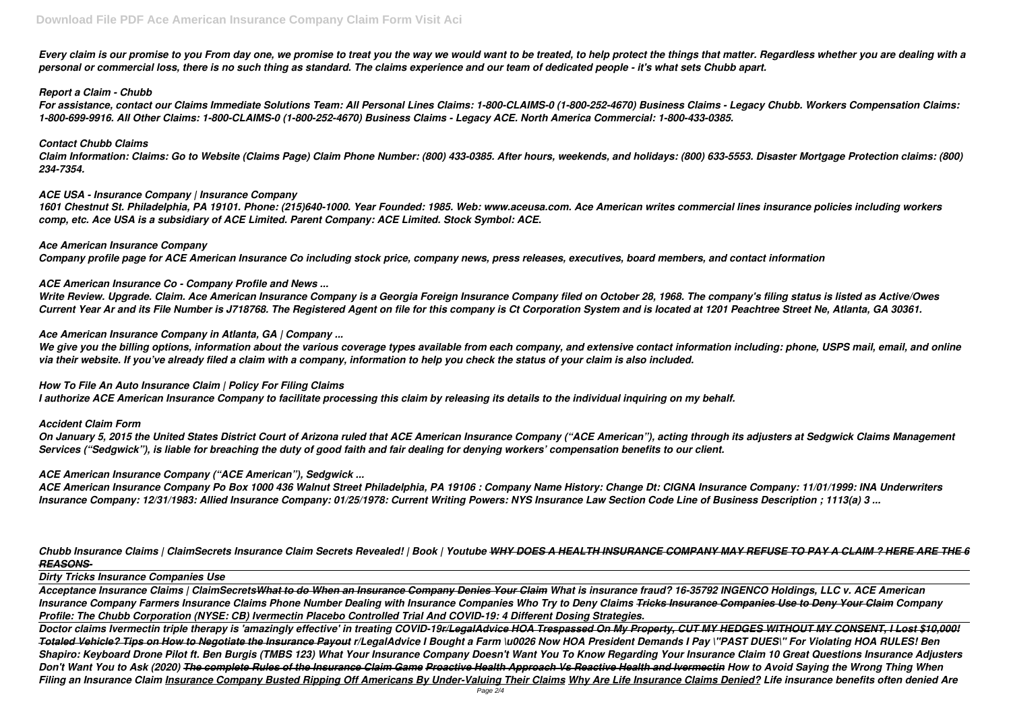*Every claim is our promise to you From day one, we promise to treat you the way we would want to be treated, to help protect the things that matter. Regardless whether you are dealing with a personal or commercial loss, there is no such thing as standard. The claims experience and our team of dedicated people - it's what sets Chubb apart.*

# *Report a Claim - Chubb*

*For assistance, contact our Claims Immediate Solutions Team: All Personal Lines Claims: 1-800-CLAIMS-0 (1-800-252-4670) Business Claims - Legacy Chubb. Workers Compensation Claims: 1-800-699-9916. All Other Claims: 1-800-CLAIMS-0 (1-800-252-4670) Business Claims - Legacy ACE. North America Commercial: 1-800-433-0385.*

### *Contact Chubb Claims*

*Claim Information: Claims: Go to Website (Claims Page) Claim Phone Number: (800) 433-0385. After hours, weekends, and holidays: (800) 633-5553. Disaster Mortgage Protection claims: (800) 234-7354.*

# *ACE USA - Insurance Company | Insurance Company*

We give you the billing options, information about the various coverage types available from each company, and extensive contact information including: phone, USPS mail, email, and online *via their website. If you've already filed a claim with a company, information to help you check the status of your claim is also included.*

*1601 Chestnut St. Philadelphia, PA 19101. Phone: (215)640-1000. Year Founded: 1985. Web: www.aceusa.com. Ace American writes commercial lines insurance policies including workers comp, etc. Ace USA is a subsidiary of ACE Limited. Parent Company: ACE Limited. Stock Symbol: ACE.*

*Ace American Insurance Company Company profile page for ACE American Insurance Co including stock price, company news, press releases, executives, board members, and contact information*

# *ACE American Insurance Co - Company Profile and News ...*

*Write Review. Upgrade. Claim. Ace American Insurance Company is a Georgia Foreign Insurance Company filed on October 28, 1968. The company's filing status is listed as Active/Owes Current Year Ar and its File Number is J718768. The Registered Agent on file for this company is Ct Corporation System and is located at 1201 Peachtree Street Ne, Atlanta, GA 30361.*

# *Ace American Insurance Company in Atlanta, GA | Company ...*

*How To File An Auto Insurance Claim | Policy For Filing Claims I authorize ACE American Insurance Company to facilitate processing this claim by releasing its details to the individual inquiring on my behalf.*

*Accident Claim Form*

*On January 5, 2015 the United States District Court of Arizona ruled that ACE American Insurance Company ("ACE American"), acting through its adjusters at Sedgwick Claims Management Services ("Sedgwick"), is liable for breaching the duty of good faith and fair dealing for denying workers' compensation benefits to our client.*

# *ACE American Insurance Company ("ACE American"), Sedgwick ...*

*ACE American Insurance Company Po Box 1000 436 Walnut Street Philadelphia, PA 19106 : Company Name History: Change Dt: CIGNA Insurance Company: 11/01/1999: INA Underwriters Insurance Company: 12/31/1983: Allied Insurance Company: 01/25/1978: Current Writing Powers: NYS Insurance Law Section Code Line of Business Description ; 1113(a) 3 ...*

*Chubb Insurance Claims | ClaimSecrets Insurance Claim Secrets Revealed! | Book | Youtube WHY DOES A HEALTH INSURANCE COMPANY MAY REFUSE TO PAY A CLAIM ? HERE ARE THE 6 REASONS-*

# *Dirty Tricks Insurance Companies Use*

*Acceptance Insurance Claims | ClaimSecretsWhat to do When an Insurance Company Denies Your Claim What is insurance fraud? 16-35792 INGENCO Holdings, LLC v. ACE American Insurance Company Farmers Insurance Claims Phone Number Dealing with Insurance Companies Who Try to Deny Claims Tricks Insurance Companies Use to Deny Your Claim Company Profile: The Chubb Corporation (NYSE: CB) Ivermectin Placebo Controlled Trial And COVID-19: 4 Different Dosing Strategies.*

*Doctor claims Ivermectin triple therapy is 'amazingly effective' in treating COVID-19r/LegalAdvice HOA Trespassed On My Property, CUT MY HEDGES WITHOUT MY CONSENT, I Lost \$10,000! Totaled Vehicle? Tips on How to Negotiate the Insurance Payout r/LegalAdvice I Bought a Farm \u0026 Now HOA President Demands I Pay \"PAST DUES\" For Violating HOA RULES! Ben Shapiro: Keyboard Drone Pilot ft. Ben Burgis (TMBS 123) What Your Insurance Company Doesn't Want You To Know Regarding Your Insurance Claim 10 Great Questions Insurance Adjusters Don't Want You to Ask (2020) The complete Rules of the Insurance Claim Game Proactive Health Approach Vs Reactive Health and Ivermectin How to Avoid Saying the Wrong Thing When Filing an Insurance Claim Insurance Company Busted Ripping Off Americans By Under-Valuing Their Claims Why Are Life Insurance Claims Denied? Life insurance benefits often denied Are*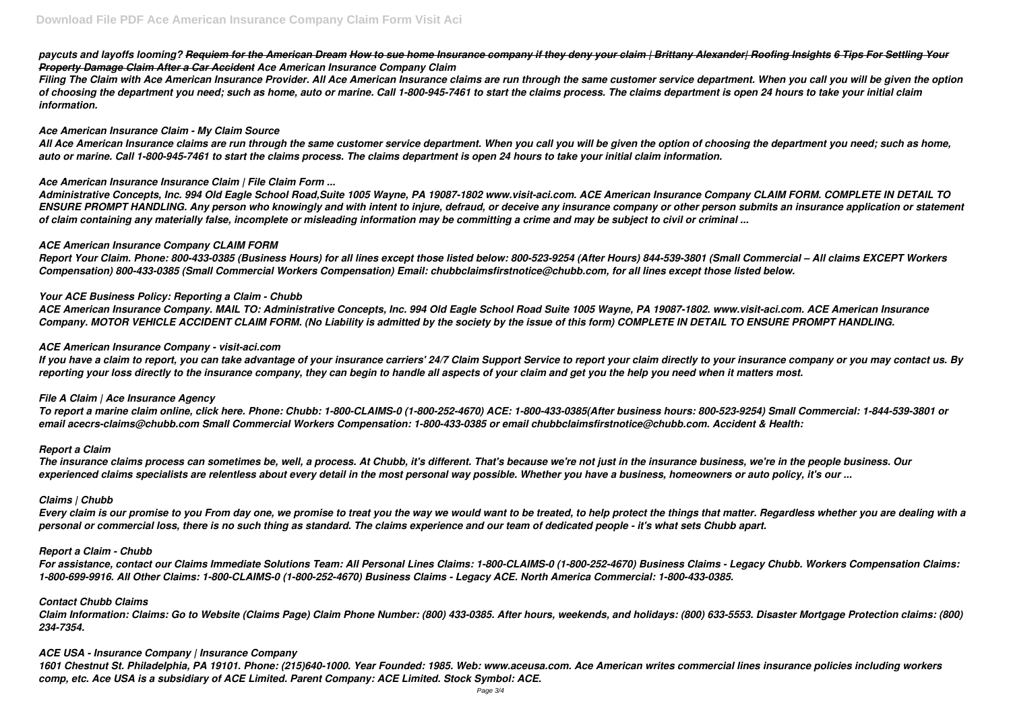# *paycuts and layoffs looming? Requiem for the American Dream How to sue home Insurance company if they deny your claim | Brittany Alexander| Roofing Insights 6 Tips For Settling Your Property Damage Claim After a Car Accident Ace American Insurance Company Claim*

*Filing The Claim with Ace American Insurance Provider. All Ace American Insurance claims are run through the same customer service department. When you call you will be given the option of choosing the department you need; such as home, auto or marine. Call 1-800-945-7461 to start the claims process. The claims department is open 24 hours to take your initial claim information.*

# *Ace American Insurance Claim - My Claim Source*

*All Ace American Insurance claims are run through the same customer service department. When you call you will be given the option of choosing the department you need; such as home, auto or marine. Call 1-800-945-7461 to start the claims process. The claims department is open 24 hours to take your initial claim information.*

# *Ace American Insurance Insurance Claim | File Claim Form ...*

*Administrative Concepts, Inc. 994 Old Eagle School Road,Suite 1005 Wayne, PA 19087-1802 www.visit-aci.com. ACE American Insurance Company CLAIM FORM. COMPLETE IN DETAIL TO ENSURE PROMPT HANDLING. Any person who knowingly and with intent to injure, defraud, or deceive any insurance company or other person submits an insurance application or statement of claim containing any materially false, incomplete or misleading information may be committing a crime and may be subject to civil or criminal ...*

# *ACE American Insurance Company CLAIM FORM*

*Report Your Claim. Phone: 800-433-0385 (Business Hours) for all lines except those listed below: 800-523-9254 (After Hours) 844-539-3801 (Small Commercial – All claims EXCEPT Workers Compensation) 800-433-0385 (Small Commercial Workers Compensation) Email: chubbclaimsfirstnotice@chubb.com, for all lines except those listed below.*

# *Your ACE Business Policy: Reporting a Claim - Chubb*

*ACE American Insurance Company. MAIL TO: Administrative Concepts, Inc. 994 Old Eagle School Road Suite 1005 Wayne, PA 19087-1802. www.visit-aci.com. ACE American Insurance Company. MOTOR VEHICLE ACCIDENT CLAIM FORM. (No Liability is admitted by the society by the issue of this form) COMPLETE IN DETAIL TO ENSURE PROMPT HANDLING.*

# *ACE American Insurance Company - visit-aci.com*

*If you have a claim to report, you can take advantage of your insurance carriers' 24/7 Claim Support Service to report your claim directly to your insurance company or you may contact us. By reporting your loss directly to the insurance company, they can begin to handle all aspects of your claim and get you the help you need when it matters most.*

# *File A Claim | Ace Insurance Agency*

*To report a marine claim online, click here. Phone: Chubb: 1-800-CLAIMS-0 (1-800-252-4670) ACE: 1-800-433-0385(After business hours: 800-523-9254) Small Commercial: 1-844-539-3801 or email acecrs-claims@chubb.com Small Commercial Workers Compensation: 1-800-433-0385 or email chubbclaimsfirstnotice@chubb.com. Accident & Health:*

#### *Report a Claim*

*The insurance claims process can sometimes be, well, a process. At Chubb, it's different. That's because we're not just in the insurance business, we're in the people business. Our experienced claims specialists are relentless about every detail in the most personal way possible. Whether you have a business, homeowners or auto policy, it's our ...*

#### *Claims | Chubb*

*Every claim is our promise to you From day one, we promise to treat you the way we would want to be treated, to help protect the things that matter. Regardless whether you are dealing with a personal or commercial loss, there is no such thing as standard. The claims experience and our team of dedicated people - it's what sets Chubb apart.*

#### *Report a Claim - Chubb*

*For assistance, contact our Claims Immediate Solutions Team: All Personal Lines Claims: 1-800-CLAIMS-0 (1-800-252-4670) Business Claims - Legacy Chubb. Workers Compensation Claims: 1-800-699-9916. All Other Claims: 1-800-CLAIMS-0 (1-800-252-4670) Business Claims - Legacy ACE. North America Commercial: 1-800-433-0385.*

#### *Contact Chubb Claims*

*Claim Information: Claims: Go to Website (Claims Page) Claim Phone Number: (800) 433-0385. After hours, weekends, and holidays: (800) 633-5553. Disaster Mortgage Protection claims: (800) 234-7354.*

#### *ACE USA - Insurance Company | Insurance Company*

*1601 Chestnut St. Philadelphia, PA 19101. Phone: (215)640-1000. Year Founded: 1985. Web: www.aceusa.com. Ace American writes commercial lines insurance policies including workers comp, etc. Ace USA is a subsidiary of ACE Limited. Parent Company: ACE Limited. Stock Symbol: ACE.*